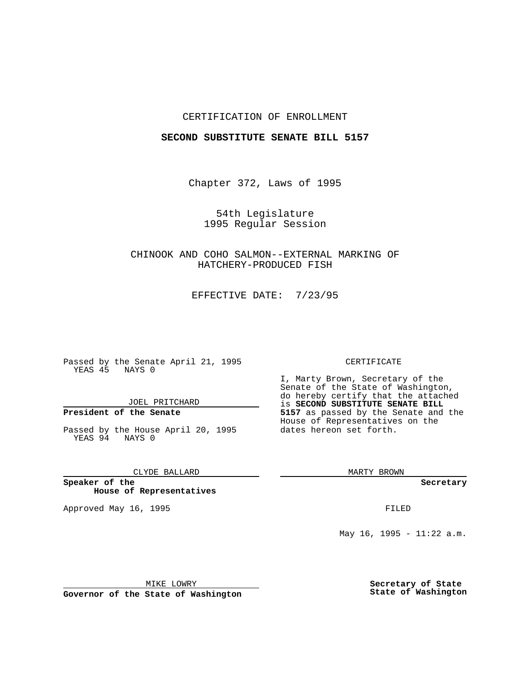### CERTIFICATION OF ENROLLMENT

### **SECOND SUBSTITUTE SENATE BILL 5157**

Chapter 372, Laws of 1995

54th Legislature 1995 Regular Session

CHINOOK AND COHO SALMON--EXTERNAL MARKING OF HATCHERY-PRODUCED FISH

EFFECTIVE DATE: 7/23/95

Passed by the Senate April 21, 1995 YEAS 45 NAYS 0

JOEL PRITCHARD

# **President of the Senate**

Passed by the House April 20, 1995 YEAS 94 NAYS 0

CLYDE BALLARD

**Speaker of the House of Representatives**

Approved May 16, 1995 FILED

#### CERTIFICATE

I, Marty Brown, Secretary of the Senate of the State of Washington, do hereby certify that the attached is **SECOND SUBSTITUTE SENATE BILL 5157** as passed by the Senate and the House of Representatives on the dates hereon set forth.

MARTY BROWN

**Secretary**

May 16, 1995 - 11:22 a.m.

MIKE LOWRY

**Governor of the State of Washington**

**Secretary of State State of Washington**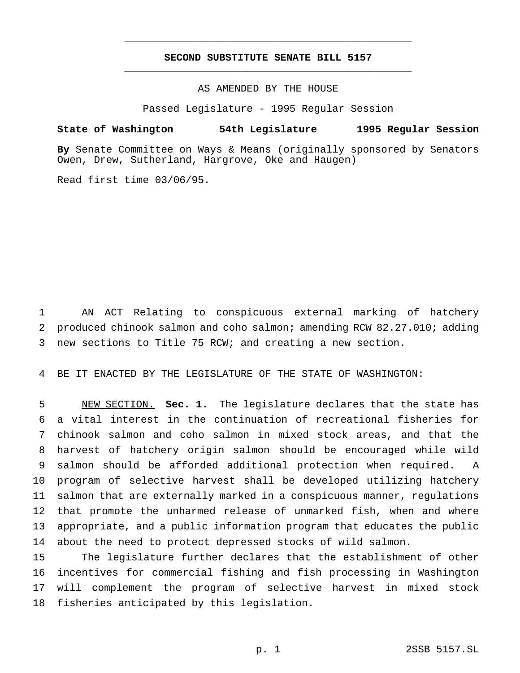## **SECOND SUBSTITUTE SENATE BILL 5157** \_\_\_\_\_\_\_\_\_\_\_\_\_\_\_\_\_\_\_\_\_\_\_\_\_\_\_\_\_\_\_\_\_\_\_\_\_\_\_\_\_\_\_\_\_\_\_

\_\_\_\_\_\_\_\_\_\_\_\_\_\_\_\_\_\_\_\_\_\_\_\_\_\_\_\_\_\_\_\_\_\_\_\_\_\_\_\_\_\_\_\_\_\_\_

## AS AMENDED BY THE HOUSE

Passed Legislature - 1995 Regular Session

### **State of Washington 54th Legislature 1995 Regular Session**

**By** Senate Committee on Ways & Means (originally sponsored by Senators Owen, Drew, Sutherland, Hargrove, Oke and Haugen)

Read first time 03/06/95.

 AN ACT Relating to conspicuous external marking of hatchery produced chinook salmon and coho salmon; amending RCW 82.27.010; adding new sections to Title 75 RCW; and creating a new section.

BE IT ENACTED BY THE LEGISLATURE OF THE STATE OF WASHINGTON:

 NEW SECTION. **Sec. 1.** The legislature declares that the state has a vital interest in the continuation of recreational fisheries for chinook salmon and coho salmon in mixed stock areas, and that the harvest of hatchery origin salmon should be encouraged while wild salmon should be afforded additional protection when required. A program of selective harvest shall be developed utilizing hatchery salmon that are externally marked in a conspicuous manner, regulations that promote the unharmed release of unmarked fish, when and where appropriate, and a public information program that educates the public about the need to protect depressed stocks of wild salmon.

 The legislature further declares that the establishment of other incentives for commercial fishing and fish processing in Washington will complement the program of selective harvest in mixed stock fisheries anticipated by this legislation.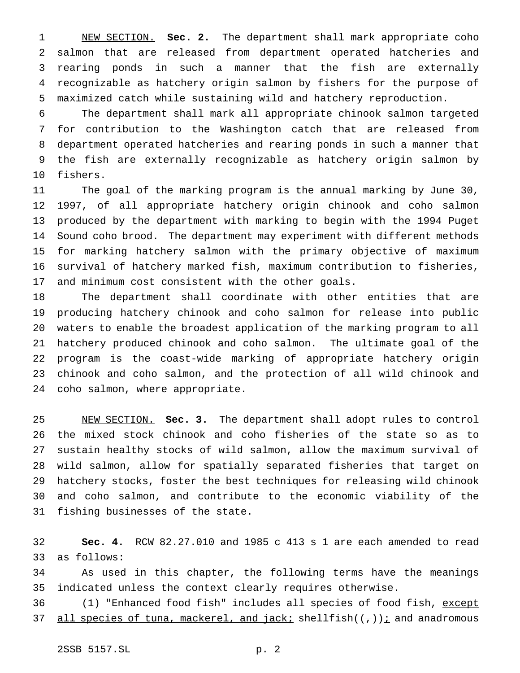NEW SECTION. **Sec. 2.** The department shall mark appropriate coho salmon that are released from department operated hatcheries and rearing ponds in such a manner that the fish are externally recognizable as hatchery origin salmon by fishers for the purpose of maximized catch while sustaining wild and hatchery reproduction.

 The department shall mark all appropriate chinook salmon targeted for contribution to the Washington catch that are released from department operated hatcheries and rearing ponds in such a manner that the fish are externally recognizable as hatchery origin salmon by fishers.

 The goal of the marking program is the annual marking by June 30, 1997, of all appropriate hatchery origin chinook and coho salmon produced by the department with marking to begin with the 1994 Puget Sound coho brood. The department may experiment with different methods for marking hatchery salmon with the primary objective of maximum survival of hatchery marked fish, maximum contribution to fisheries, and minimum cost consistent with the other goals.

 The department shall coordinate with other entities that are producing hatchery chinook and coho salmon for release into public waters to enable the broadest application of the marking program to all hatchery produced chinook and coho salmon. The ultimate goal of the program is the coast-wide marking of appropriate hatchery origin chinook and coho salmon, and the protection of all wild chinook and coho salmon, where appropriate.

 NEW SECTION. **Sec. 3.** The department shall adopt rules to control the mixed stock chinook and coho fisheries of the state so as to sustain healthy stocks of wild salmon, allow the maximum survival of wild salmon, allow for spatially separated fisheries that target on hatchery stocks, foster the best techniques for releasing wild chinook and coho salmon, and contribute to the economic viability of the fishing businesses of the state.

 **Sec. 4.** RCW 82.27.010 and 1985 c 413 s 1 are each amended to read as follows:

 As used in this chapter, the following terms have the meanings indicated unless the context clearly requires otherwise.

36 (1) "Enhanced food fish" includes all species of food fish, except 37 all species of tuna, mackerel, and jack; shellfish( $(\tau)$ ); and anadromous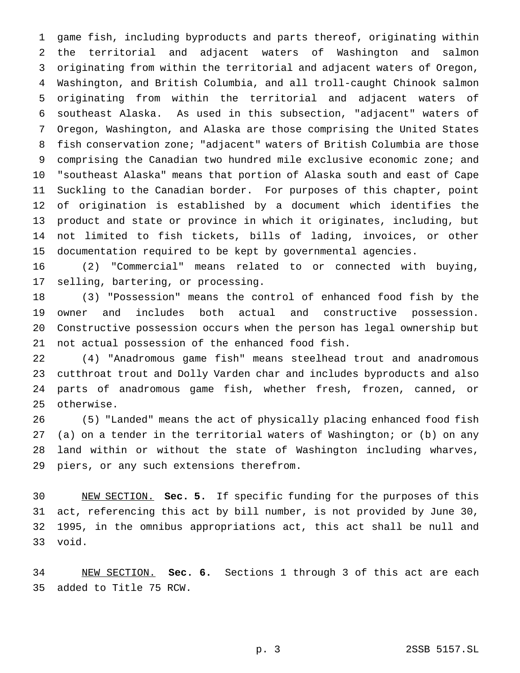game fish, including byproducts and parts thereof, originating within the territorial and adjacent waters of Washington and salmon originating from within the territorial and adjacent waters of Oregon, Washington, and British Columbia, and all troll-caught Chinook salmon originating from within the territorial and adjacent waters of southeast Alaska. As used in this subsection, "adjacent" waters of Oregon, Washington, and Alaska are those comprising the United States fish conservation zone; "adjacent" waters of British Columbia are those comprising the Canadian two hundred mile exclusive economic zone; and "southeast Alaska" means that portion of Alaska south and east of Cape Suckling to the Canadian border. For purposes of this chapter, point of origination is established by a document which identifies the product and state or province in which it originates, including, but not limited to fish tickets, bills of lading, invoices, or other documentation required to be kept by governmental agencies.

 (2) "Commercial" means related to or connected with buying, selling, bartering, or processing.

 (3) "Possession" means the control of enhanced food fish by the owner and includes both actual and constructive possession. Constructive possession occurs when the person has legal ownership but not actual possession of the enhanced food fish.

 (4) "Anadromous game fish" means steelhead trout and anadromous cutthroat trout and Dolly Varden char and includes byproducts and also parts of anadromous game fish, whether fresh, frozen, canned, or otherwise.

 (5) "Landed" means the act of physically placing enhanced food fish (a) on a tender in the territorial waters of Washington; or (b) on any land within or without the state of Washington including wharves, piers, or any such extensions therefrom.

 NEW SECTION. **Sec. 5.** If specific funding for the purposes of this act, referencing this act by bill number, is not provided by June 30, 1995, in the omnibus appropriations act, this act shall be null and void.

 NEW SECTION. **Sec. 6.** Sections 1 through 3 of this act are each added to Title 75 RCW.